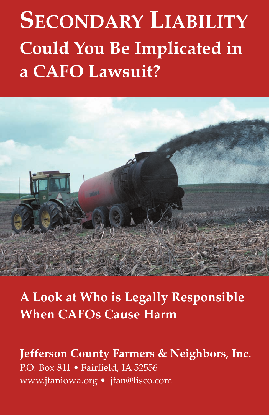# **SECONDARY LIABILITY Could You Be Implicated in a CAFO Lawsuit?**



**A Look at Who is Legally Responsible When CAFOs Cause Harm**

# **Jefferson County Farmers & Neighbors, Inc.** P.O. Box 811 • Fairfield, IA 52556 www.jfaniowa.org • jfan@lisco.com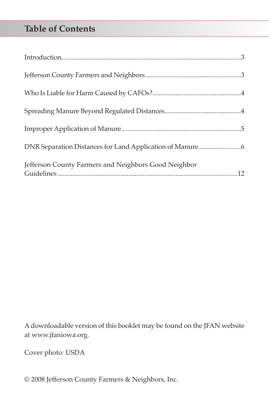# **Table of Contents**

| Jefferson County Farmers and Neighbors Good Neighbor |  |
|------------------------------------------------------|--|

A downloadable version of this booklet may be found on the JFAN website at www.jfaniowa.org.

Cover photo: USDA

© 2008 Jefferson County Farmers & Neighbors, Inc.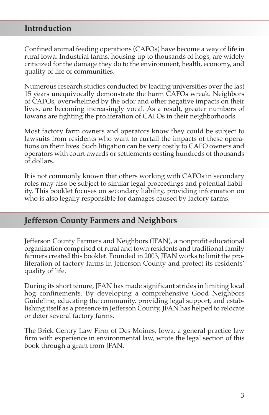## **Introduction**

Confined animal feeding operations (CAFOs) have become a way of life in rural Iowa. Industrial farms, housing up to thousands of hogs, are widely criticized for the damage they do to the environment, health, economy, and quality of life of communities.

Numerous research studies conducted by leading universities over the last 15 years unequivocally demonstrate the harm CAFOs wreak. Neighbors of CAFOs, overwhelmed by the odor and other negative impacts on their lives, are becoming increasingly vocal. As a result, greater numbers of Iowans are fighting the proliferation of CAFOs in their neighborhoods.

Most factory farm owners and operators know they could be subject to lawsuits from residents who want to curtail the impacts of these operations on their lives. Such litigation can be very costly to CAFO owners and operators with court awards or settlements costing hundreds of thousands of dollars.

It is not commonly known that others working with CAFOs in secondary roles may also be subject to similar legal proceedings and potential liability. This booklet focuses on secondary liability, providing information on who is also legally responsible for damages caused by factory farms.

#### **Jefferson County Farmers and Neighbors**

Jefferson County Farmers and Neighbors (JFAN), a nonprofit educational organization comprised of rural and town residents and traditional family farmers created this booklet. Founded in 2003, JFAN works to limit the proliferation of factory farms in Jefferson County and protect its residents' quality of life.

During its short tenure, JFAN has made significant strides in limiting local hog confinements. By developing a comprehensive Good Neighbors Guideline, educating the community, providing legal support, and establishing itself as a presence in Jefferson County, JFAN has helped to relocate or deter several factory farms.

The Brick Gentry Law Firm of Des Moines, Iowa, a general practice law firm with experience in environmental law, wrote the legal section of this book through a grant from JFAN.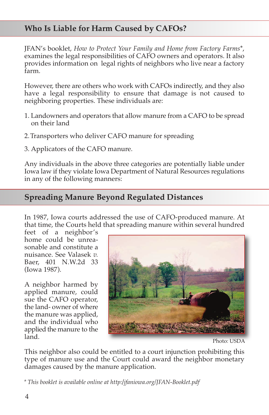## **Who Is Liable for Harm Caused by CAFOs?**

JFAN's booklet, *How to Protect Your Family and Home from Factory Farms*\*, examines the legal responsibilities of CAFO owners and operators. It also provides information on legal rights of neighbors who live near a factory farm.

However, there are others who work with CAFOs indirectly, and they also have a legal responsibility to ensure that damage is not caused to neighboring properties. These individuals are:

- 1. Landowners and operators that allow manure from a CAFO to be spread on their land
- 2.Transporters who deliver CAFO manure for spreading
- 3. Applicators of the CAFO manure.

Any individuals in the above three categories are potentially liable under Iowa law if they violate Iowa Department of Natural Resources regulations in any of the following manners:

## **Spreading Manure Beyond Regulated Distances**

In 1987, Iowa courts addressed the use of CAFO-produced manure. At that time, the Courts held that spreading manure within several hundred

feet of a neighbor's home could be unreasonable and constitute a nuisance. See Valasek *v.* Baer, 401 N.W.2d 33 (Iowa 1987).

A neighbor harmed by applied manure, could sue the CAFO operator, the land- owner of where the manure was applied, and the individual who applied the manure to the land.



Photo: USDA

This neighbor also could be entitled to a court injunction prohibiting this type of manure use and the Court could award the neighbor monetary damages caused by the manure application.

*\* This booklet is available online at http:/jfaniowa.org/JFAN-Booklet.pdf*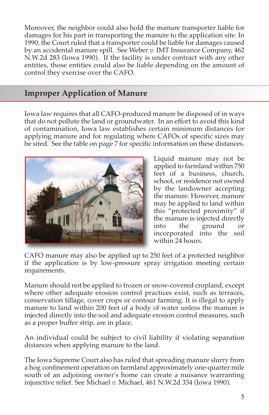Moreover, the neighbor could also hold the manure transporter liable for damages for his part in transporting the manure to the application site. In 1990, the Court ruled that a transporter could be liable for damages caused by an accidental manure spill. See Weber *v.* IMT Insurance Company, 462 N.W.2d 283 (Iowa 1990). If the facility is under contract with any other entities, those entities could also be liable depending on the amount of control they exercise over the CAFO.

# **Improper Application of Manure**

Iowa law requires that all CAFO-produced manure be disposed of in ways that do not pollute the land or groundwater. In an effort to avoid this kind of contamination, Iowa law establishes certain minimum distances for applying manure and for regulating where CAFOs of specific sizes may be sited. See the table on page 7 for specific information on these distances.



Liquid manure may not be applied to farmland within 750 feet of a business, church, school, or residence not owned by the landowner accepting the manure. However, manure may be applied to land within this "protected proximity" if the manure is injected directly into the ground or incorporated into the soil within 24 hours.

CAFO manure may also be applied up to 250 feet of a protected neighbor if the application is by low-pressure spray irrigation meeting certain requirements.

Manure should not be applied to frozen or snow-covered cropland, except where other adequate erosion control practices exist, such as terraces, conservation tillage, cover crops or contour farming. It is illegal to apply manure to land within 200 feet of a body of water unless the manure is injected directly into the soil and adequate erosion control measures, such as a proper buffer strip, are in place.

An individual could be subject to civil liability if violating separation distances when applying manure to the land.

The Iowa Supreme Court also has ruled that spreading manure slurry from a hog confinement operation on farmland approximately one-quarter mile south of an adjoining owner's home can create a nuisance warranting injunctive relief. See Michael *v.* Michael, 461 N.W.2d 334 (Iowa 1990).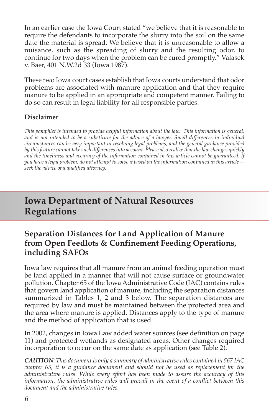In an earlier case the Iowa Court stated "we believe that it is reasonable to require the defendants to incorporate the slurry into the soil on the same date the material is spread. We believe that it is unreasonable to allow a nuisance, such as the spreading of slurry and the resulting odor, to continue for two days when the problem can be cured promptly." Valasek v. Baer, 401 N.W.2d 33 (Iowa 1987).

These two Iowa court cases establish that Iowa courts understand that odor problems are associated with manure application and that they require manure to be applied in an appropriate and competent manner. Failing to do so can result in legal liability for all responsible parties.

#### **Disclaimer**

*This pamphlet is intended to provide helpful information about the law. This information is general, and is not intended to be a substitute for the advice of a lawyer. Small differences in individual circumstances can be very important in resolving legal problems, and the general guidance provided by this feature cannot take such differences into account. Please also realize that the law changes quickly and the timeliness and accuracy of the information contained in this article cannot be guaranteed. If you have a legal problem, do not attempt to solve it based on the information contained in this article seek the advice of a qualified attorney.*

# **Iowa Department of Natural Resources Regulations**

# **Separation Distances for Land Application of Manure from Open Feedlots & Confinement Feeding Operations, including SAFOs**

Iowa law requires that all manure from an animal feeding operation must be land applied in a manner that will not cause surface or groundwater pollution. Chapter 65 of the Iowa Administrative Code (IAC) contains rules that govern land application of manure, including the separation distances summarized in Tables 1, 2 and 3 below. The separation distances are required by law and must be maintained between the protected area and the area where manure is applied. Distances apply to the type of manure and the method of application that is used.

In 2002, changes in Iowa Law added water sources (see definition on page 11) and protected wetlands as designated areas. Other changes required incorporation to occur on the same date as application (see Table 2).

*CAUTION: This document is only a summary of administrative rules contained in 567 IAC chapter 65; it is a guidance document and should not be used as replacement for the administrative rules. While every effort has been made to assure the accuracy of this information, the administrative rules will prevail in the event of a conflict between this document and the administrative rules.*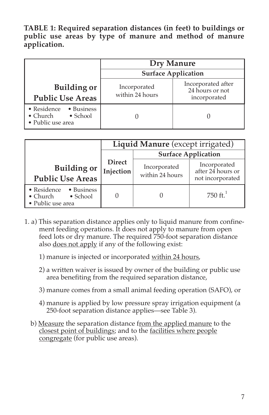**TABLE 1: Required separation distances (in feet) to buildings or public use areas by type of manure and method of manure application.**

|                                                                                                | Dry Manure<br><b>Surface Application</b> |                                                       |  |
|------------------------------------------------------------------------------------------------|------------------------------------------|-------------------------------------------------------|--|
|                                                                                                |                                          |                                                       |  |
| <b>Building or</b><br><b>Public Use Areas</b>                                                  | Incorporated<br>within 24 hours          | Incorporated after<br>24 hours or not<br>incorporated |  |
| $\bullet$ Residence<br>• Business<br>$\bullet$ Church<br>$\bullet$ School<br>• Public use area |                                          |                                                       |  |

|                                                                                        | Liquid Manure (except irrigated) |                                 |                                                       |
|----------------------------------------------------------------------------------------|----------------------------------|---------------------------------|-------------------------------------------------------|
|                                                                                        | <b>Surface Application</b>       |                                 |                                                       |
| <b>Building or</b><br><b>Public Use Areas</b>                                          | <b>Direct</b><br>Injection       | Incorporated<br>within 24 hours | Incorporated<br>after 24 hours or<br>not incorporated |
| • Residence<br>• Business<br>$\bullet$ School<br>$\bullet$ Church<br>• Public use area |                                  |                                 | 750 $\rm{ft}$ <sup>1</sup>                            |

- 1. a) This separation distance applies only to liquid manure from confinement feeding operations. It does not apply to manure from open feed lots or dry manure. The required 750-foot separation distance also does not apply if any of the following exist:
	- 1) manure is injected or incorporated within 24 hours,
	- 2) a written waiver is issued by owner of the building or public use area benefiting from the required separation distance,
	- 3) manure comes from a small animal feeding operation (SAFO), or
	- 4) manure is applied by low pressure spray irrigation equipment (a 250-foot separation distance applies—see Table 3).
	- b) Measure the separation distance from the applied manure to the closest point of buildings; and to the facilities where people congregate (for public use areas).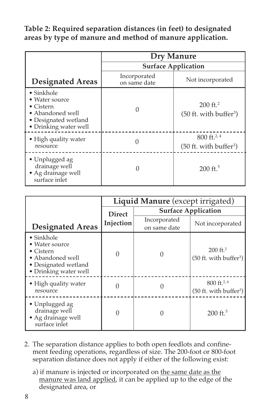**Table 2: Required separation distances (in feet) to designated areas by type of manure and method of manure application.**

|                                                                                                                                        | <b>Dry Manure</b>            |                                                               |  |  |
|----------------------------------------------------------------------------------------------------------------------------------------|------------------------------|---------------------------------------------------------------|--|--|
|                                                                                                                                        | <b>Surface Application</b>   |                                                               |  |  |
| <b>Designated Areas</b>                                                                                                                | Incorporated<br>on same date | Not incorporated                                              |  |  |
| $\bullet$ Sinkhole<br>$\bullet$ Water source<br>$\bullet$ Cistern<br>• Abandoned well<br>• Designated wetland<br>• Drinking water well |                              | $200 \text{ ft}^2$<br>$(50$ ft. with buffer <sup>3</sup> )    |  |  |
| • High quality water<br>resource                                                                                                       |                              | $800 \text{ ft.}^{2,4}$<br>(50 ft. with buffer <sup>3</sup> ) |  |  |
| • Unplugged ag<br>drainage well<br>• Ag drainage well<br>surface inlet                                                                 |                              | $200 \text{ ft.}^5$                                           |  |  |

|                                                                                                                                | Liquid Manure (except irrigated) |                              |                                                                 |
|--------------------------------------------------------------------------------------------------------------------------------|----------------------------------|------------------------------|-----------------------------------------------------------------|
|                                                                                                                                | <b>Direct</b>                    |                              | <b>Surface Application</b>                                      |
| <b>Designated Areas</b>                                                                                                        | Injection                        | Incorporated<br>on same date | Not incorporated                                                |
| $\bullet$ Sinkhole<br>• Water source<br>$\bullet$ Cistern<br>• Abandoned well<br>• Designated wetland<br>• Drinking water well | O                                |                              | $200 \text{ ft}^2$<br>$(50$ ft. with buffer <sup>3</sup> )      |
| • High quality water<br>resource                                                                                               |                                  |                              | $800 \text{ ft.}^{2,4}$<br>$(50$ ft. with buffer <sup>3</sup> ) |
| • Unplugged ag<br>drainage well<br>· Ag drainage well<br>surface inlet                                                         |                                  |                              | $200 \text{ ft.}^5$                                             |

- 2. The separation distance applies to both open feedlots and confinement feeding operations, regardless of size. The 200-foot or 800-foot separation distance does not apply if either of the following exist:
	- a) if manure is injected or incorporated on the same date as the manure was land applied, it can be applied up to the edge of the designated area, or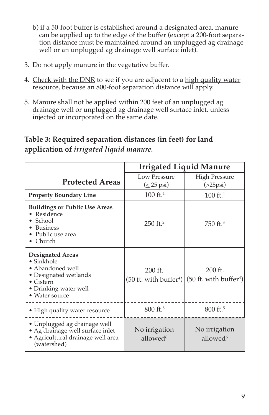- b) if a 50-foot buffer is established around a designated area, manure can be applied up to the edge of the buffer (except a 200-foot separation distance must be maintained around an unplugged ag drainage well or an unplugged ag drainage well surface inlet).
- 3. Do not apply manure in the vegetative buffer.
- 4. Check with the DNR to see if you are adjacent to a high quality water resource, because an 800-foot separation distance will apply.
- 5. Manure shall not be applied within 200 feet of an unplugged ag drainage well or unplugged ag drainage well surface inlet, unless injected or incorporated on the same date.

# **Table 3: Required separation distances (in feet) for land application of** *irrigated liquid manure.*

|                                                                                                                                                            | <b>Irrigated Liquid Manure</b>          |                                                                                                            |
|------------------------------------------------------------------------------------------------------------------------------------------------------------|-----------------------------------------|------------------------------------------------------------------------------------------------------------|
| <b>Protected Areas</b>                                                                                                                                     | Low Pressure<br>$(\leq 25 \text{ psi})$ | <b>High Pressure</b><br>$($ >25 $psi)$                                                                     |
| <b>Property Boundary Line</b>                                                                                                                              | $100 \text{ ft.}^1$                     | $100 \text{ ft.}^1$                                                                                        |
| <b>Buildings or Public Use Areas</b><br>Residence<br>School<br><b>Business</b><br>Public use area<br>Church                                                | $250$ ft. <sup>2</sup>                  | 750 ft. <sup>3</sup>                                                                                       |
| <b>Designated Areas</b><br>$\bullet$ Sinkhole<br>• Abandoned well<br>• Designated wetlands<br>$\bullet$ Cistern<br>• Drinking water well<br>• Water source | $200$ ft.                               | $200$ ft.<br>$(50$ ft. with buffer <sup>4</sup> $\frac{1}{50}$ ft. with buffer <sup>4</sup> $\frac{1}{50}$ |
| • High quality water resource                                                                                                                              | 800 ft. <sup>5</sup>                    | 800 ft. <sup>5</sup>                                                                                       |
| • Unplugged ag drainage well<br>• Ag drainage well surface inlet<br>· Agricultural drainage well area<br>(watershed)                                       | No irrigation<br>allowed <sup>6</sup>   | No irrigation<br>allowed <sup>6</sup>                                                                      |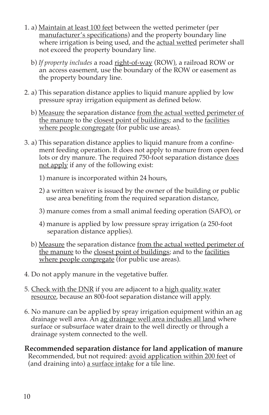- 1. a) Maintain at least 100 feet between the wetted perimeter (per manufacturer's specifications) and the property boundary line where irrigation is being used, and the actual wetted perimeter shall not exceed the property boundary line.
	- b) *If property includes* a road right-of-way (ROW), a railroad ROW or an access easement, use the boundary of the ROW or easement as the property boundary line.
- 2. a) This separation distance applies to liquid manure applied by low pressure spray irrigation equipment as defined below.
	- b) Measure the separation distance from the actual wetted perimeter of the manure to the closest point of buildings; and to the facilities where people congregate (for public use areas).
- 3. a) This separation distance applies to liquid manure from a confinement feeding operation. It does not apply to manure from open feed lots or dry manure. The required 750-foot separation distance does not apply if any of the following exist:
	- 1) manure is incorporated within 24 hours,
	- 2) a written waiver is issued by the owner of the building or public use area benefiting from the required separation distance,
	- 3) manure comes from a small animal feeding operation (SAFO), or
	- 4) manure is applied by low pressure spray irrigation (a 250-foot separation distance applies).
	- b) Measure the separation distance <u>from the actual wetted perimeter of</u> the manure to the closest point of buildings; and to the facilities where people congregate (for public use areas).
- 4. Do not apply manure in the vegetative buffer.
- 5. Check with the DNR if you are adjacent to a high quality water resource, because an 800-foot separation distance will apply.
- 6. No manure can be applied by spray irrigation equipment within an ag drainage well area. An ag drainage well area includes all land where surface or subsurface water drain to the well directly or through a drainage system connected to the well.
- **Recommended separation distance for land application of manure** Recommended, but not required: avoid application within 200 feet of (and draining into) a surface intake for a tile line.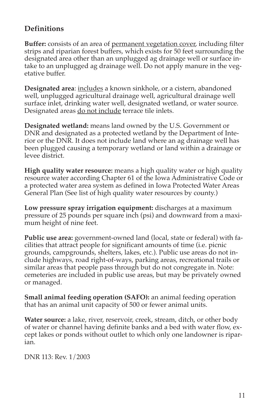# **Definitions**

**Buffer:** consists of an area of permanent vegetation cover, including filter strips and riparian forest buffers, which exists for 50 feet surrounding the designated area other than an unplugged ag drainage well or surface intake to an unplugged ag drainage well. Do not apply manure in the vegetative buffer.

**Designated area**: includes a known sinkhole, or a cistern, abandoned well, unplugged agricultural drainage well, agricultural drainage well surface inlet, drinking water well, designated wetland, or water source. Designated areas do not include terrace tile inlets.

**Designated wetland:** means land owned by the U.S. Government or DNR and designated as a protected wetland by the Department of Interior or the DNR. It does not include land where an ag drainage well has been plugged causing a temporary wetland or land within a drainage or levee district.

**High quality water resource:** means a high quality water or high quality resource water according Chapter 61 of the Iowa Administrative Code or a protected water area system as defined in Iowa Protected Water Areas General Plan (See list of high quality water resources by county.)

**Low pressure spray irrigation equipment:** discharges at a maximum pressure of 25 pounds per square inch (psi) and downward from a maximum height of nine feet.

**Public use area:** government-owned land (local, state or federal) with facilities that attract people for significant amounts of time (i.e. picnic grounds, campgrounds, shelters, lakes, etc.). Public use areas do not include highways, road right-of-ways, parking areas, recreational trails or similar areas that people pass through but do not congregate in. Note: cemeteries are included in public use areas, but may be privately owned or managed.

**Small animal feeding operation (SAFO):** an animal feeding operation that has an animal unit capacity of 500 or fewer animal units.

**Water source:** a lake, river, reservoir, creek, stream, ditch, or other body of water or channel having definite banks and a bed with water flow, except lakes or ponds without outlet to which only one landowner is riparian.

DNR 113: Rev. 1/2003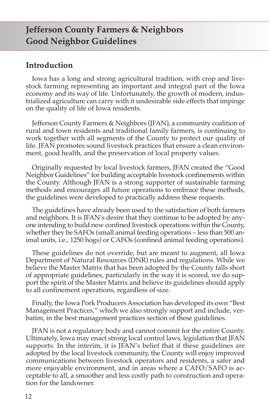# **Jefferson County Farmers & Neighbors Good Neighbor Guidelines**

## **Introduction**

Iowa has a long and strong agricultural tradition, with crop and livestock farming representing an important and integral part of the Iowa economy and its way of life. Unfortunately, the growth of modern, industrialized agriculture can carry with it undesirable side effects that impinge on the quality of life of Iowa residents.

Jefferson County Farmers & Neighbors (JFAN), a community coalition of rural and town residents and traditional family farmers, is continuing to work together with all segments of the County to protect our quality of life. JFAN promotes sound livestock practices that ensure a clean environment, good health, and the preservation of local property values.

Originally requested by local livestock farmers, JFAN created the "Good Neighbor Guidelines" for building acceptable livestock confinements within the County. Although JFAN is a strong supporter of sustainable farming methods and encourages all future operations to embrace these methods, the guidelines were developed to practically address these requests.

The guidelines have already been used to the satisfaction of both farmers and neighbors. It is JFAN's desire that they continue to be adopted by anyone intending to build new confined livestock operations within the County, whether they be SAFOs (small animal feeding operations – less than 500 animal units, i.e., 1250 hogs) or CAFOs (confined animal feeding operations).

These guidelines do not override, but are meant to augment, all Iowa Department of Natural Resources (DNR) rules and regulations. While we believe the Master Matrix that has been adopted by the County falls short of appropriate guidelines, particularly in the way it is scored, we do support the spirit of the Master Matrix and believe its guidelines should apply to all confinement operations, regardless of size.

Finally, the Iowa Pork Producers Association has developed its own "Best Management Practices," which we also strongly support and include, verbatim, in the best management practices section of these guidelines.

JFAN is not a regulatory body and cannot commit for the entire County. Ultimately, Iowa may enact strong local control laws, legislation that JFAN supports. In the interim, it is JFAN's belief that if these guidelines are adopted by the local livestock community, the County will enjoy improved communications between livestock operators and residents, a safer and more enjoyable environment, and in areas where a CAFO/SAFO is acceptable to all, a smoother and less costly path to construction and operation for the landowner.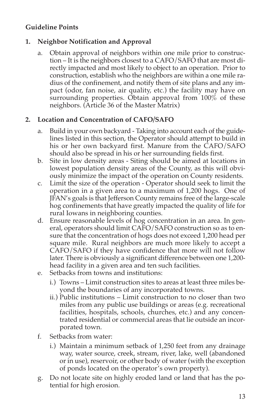#### **Guideline Points**

#### **1. Neighbor Notification and Approval**

a. Obtain approval of neighbors within one mile prior to construction – It is the neighbors closest to a CAFO/SAFO that are most directly impacted and most likely to object to an operation. Prior to construction, establish who the neighbors are within a one mile radius of the confinement, and notify them of site plans and any impact (odor, fan noise, air quality, etc.) the facility may have on surrounding properties. Obtain approval from 100% of these neighbors. (Article 36 of the Master Matrix)

#### **2. Location and Concentration of CAFO/SAFO**

- a. Build in your own backyard Taking into account each of the guidelines listed in this section, the Operator should attempt to build in his or her own backyard first. Manure from the CAFO/SAFO should also be spread in his or her surrounding fields first.
- b. Site in low density areas Siting should be aimed at locations in lowest population density areas of the County, as this will obviously minimize the impact of the operation on County residents.
- c. Limit the size of the operation Operator should seek to limit the operation in a given area to a maximum of 1,200 hogs. One of JFAN's goals is that Jefferson County remains free of the large-scale hog confinements that have greatly impacted the quality of life for rural Iowans in neighboring counties.
- d. Ensure reasonable levels of hog concentration in an area. In general, operators should limit CAFO/SAFO construction so as to ensure that the concentration of hogs does not exceed 1,200 head per square mile. Rural neighbors are much more likely to accept a CAFO/SAFO if they have confidence that more will not follow later. There is obviously a significant difference between one 1,200 head facility in a given area and ten such facilities.
- e. Setbacks from towns and institutions:
	- i.) Towns Limit construction sites to areas at least three miles beyond the boundaries of any incorporated towns.
	- ii.) Public institutions Limit construction to no closer than two miles from any public use buildings or areas (e.g. recreational facilities, hospitals, schools, churches, etc.) and any concentrated residential or commercial areas that lie outside an incorporated town.
- f. Setbacks from water:
	- i.) Maintain a minimum setback of 1,250 feet from any drainage way, water source, creek, stream, river, lake, well (abandoned or in use), reservoir, or other body of water (with the exception of ponds located on the operator's own property).
- g. Do not locate site on highly eroded land or land that has the potential for high erosion.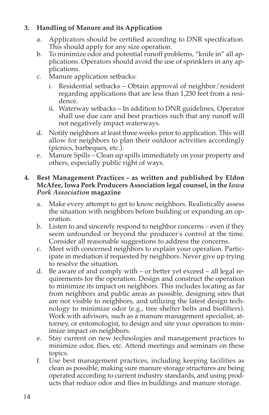#### **3. Handling of Manure and its Application**

- a. Applicators should be certified according to DNR specification. This should apply for any size operation.
- b. To minimize odor and potential runoff problems, "knife in" all applications. Operators should avoid the use of sprinklers in any applications.
- c. Manure application setbacks:
	- i. Residential setbacks Obtain approval of neighbor/resident regarding applications that are less than 1,250 feet from a residence.
	- ii. Waterway setbacks In addition to DNR guidelines, Operator shall use due care and best practices such that any runoff will not negatively impact waterways.
- d. Notify neighbors at least three weeks prior to application. This will allow for neighbors to plan their outdoor activities accordingly (picnics, barbeques, etc.).
- e. Manure Spills Clean up spills immediately on your property and others, especially public right of ways.

#### **4. Best Management Practices - as written and published by Eldon McAfee, Iowa Pork Producers Association legal counsel, in the** *Iowa Pork Association* **magazine**

- a. Make every attempt to get to know neighbors. Realistically assess the situation with neighbors before building or expanding an operation.
- b. Listen to and sincerely respond to neighbor concerns even if they seem unfounded or beyond the producer's control at the time. Consider all reasonable suggestions to address the concerns.
- c. Meet with concerned neighbors to explain your operation. Participate in mediation if requested by neighbors. Never give up trying to resolve the situation.
- d. Be aware of and comply with or better yet exceed all legal requirements for the operation. Design and construct the operation to minimize its impact on neighbors. This includes locating as far from neighbors and public areas as possible, designing sites that are not visible to neighbors, and utilizing the latest design technology to minimize odor (e.g., tree shelter belts and biofilters). Work with advisors, such as a manure management specialist, attorney, or entomologist, to design and site your operation to minimize impact on neighbors.
- e. Stay current on new technologies and management practices to minimize odor, flies, etc. Attend meetings and seminars on these topics.
- f. Use best management practices, including keeping facilities as clean as possible, making sure manure storage structures are being operated according to current industry standards, and using products that reduce odor and flies in buildings and manure storage.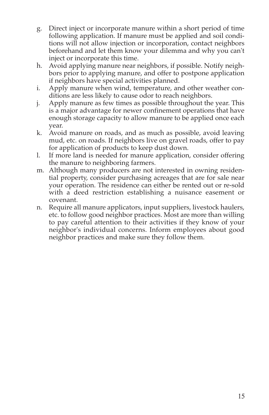- g. Direct inject or incorporate manure within a short period of time following application. If manure must be applied and soil conditions will not allow injection or incorporation, contact neighbors beforehand and let them know your dilemma and why you can't inject or incorporate this time.
- h. Avoid applying manure near neighbors, if possible. Notify neighbors prior to applying manure, and offer to postpone application if neighbors have special activities planned.
- i. Apply manure when wind, temperature, and other weather conditions are less likely to cause odor to reach neighbors.
- j. Apply manure as few times as possible throughout the year. This is a major advantage for newer confinement operations that have enough storage capacity to allow manure to be applied once each year.
- k. Avoid manure on roads, and as much as possible, avoid leaving mud, etc. on roads. If neighbors live on gravel roads, offer to pay for application of products to keep dust down.
- l. If more land is needed for manure application, consider offering the manure to neighboring farmers.
- m. Although many producers are not interested in owning residential property, consider purchasing acreages that are for sale near your operation. The residence can either be rented out or re-sold with a deed restriction establishing a nuisance easement or covenant.
- n. Require all manure applicators, input suppliers, livestock haulers, etc. to follow good neighbor practices. Most are more than willing to pay careful attention to their activities if they know of your neighbor's individual concerns. Inform employees about good neighbor practices and make sure they follow them.